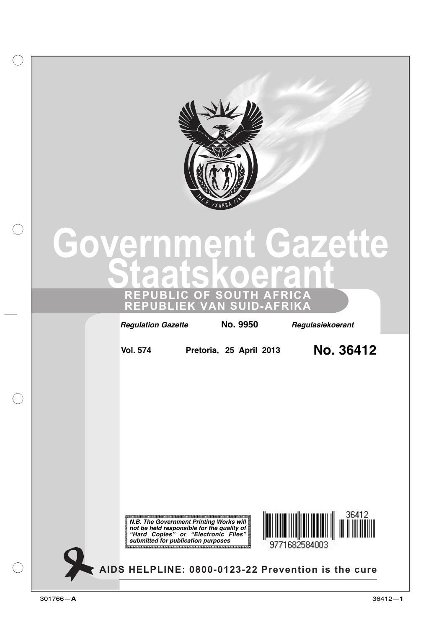

# **Government Gazette Staatskoerant REPUBLIC OF SOUTH AFRICA**

**REPUBLIEK VAN SUID-AFRIKA**

*Regulation Gazette*  **No. 9950** *Regulasiekoerant*

**Vol. 574 Pretoria, 25 April 2013 No. 36412**





**AIDS HELPLINE: 0800-0123-22 Prevention is the cure**

 $(\ )$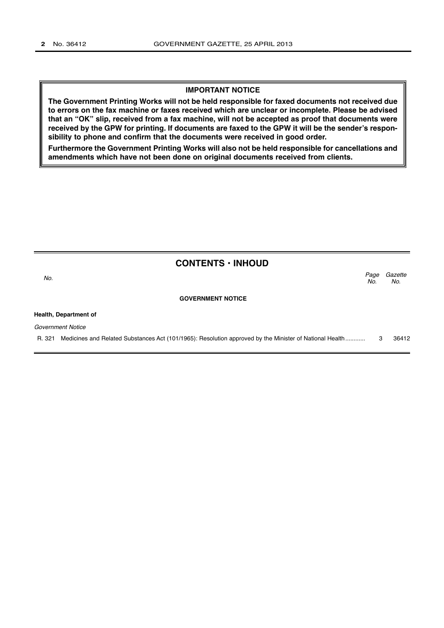#### **IMPORTANT NOTICE**

**The Government Printing Works will not be held responsible for faxed documents not received due to errors on the fax machine or faxes received which are unclear or incomplete. Please be advised that an "OK" slip, received from a fax machine, will not be accepted as proof that documents were received by the GPW for printing. If documents are faxed to the GPW it will be the sender's responsibility to phone and confirm that the documents were received in good order.**

**Furthermore the Government Printing Works will also not be held responsible for cancellations and amendments which have not been done on original documents received from clients.**

| <b>CONTENTS · INHOUD</b>                                                                                          |             |                |
|-------------------------------------------------------------------------------------------------------------------|-------------|----------------|
| No.                                                                                                               | Page<br>No. | Gazette<br>No. |
| <b>GOVERNMENT NOTICE</b>                                                                                          |             |                |
| Health, Department of                                                                                             |             |                |
| Government Notice                                                                                                 |             |                |
| Medicines and Related Substances Act (101/1965): Resolution approved by the Minister of National Health<br>R. 321 | 3           | 36412          |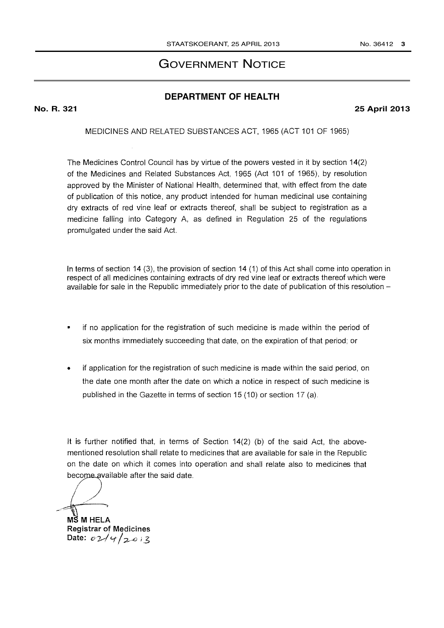# GOVERNMENT NOTICE

## **DEPARTMENT OF HEALTH**

### **No. R. 321 25 April 2013**

MEDICINES AND RELATED SUBSTANCES ACT, 1965 (ACT 101 OF 1965)

The Medicines Control Council has by virtue of the powers vested in it by section 14(2) of the Medicines and Related Substances Act, 1965 (Act 101 of 1965), by resolution approved by the Minister of National Health, determined that, with effect from the date of publication of this notice, any product intended for human medicinal use containing dry extracts of red vine leaf or extracts thereof, shall be subject to registration as a medicine falling into Category A, as defined in Regulation 25 of the regulations promulgated under the said Act.

In terms of section 14 (3), the provision of section 14 (1) of this Act shall come into operation in respect of all medicines containing extracts of dry red vine leaf or extracts thereof which were available for sale in the Republic immediately prior to the date of publication of this resolution -

- if no application for the registration of such medicine is made within the period of six months immediately succeeding that date, on the expiration of that period; or
- if application for the registration of such medicine is made within the said period, on the date one month after the date on which a notice in respect of such medicine is published in the Gazette in terms of section 15 (10) or section 17 (a).

It is further notified that, in terms of Section 14(2) (b) of the said Act, the abovementioned resolution shall relate to medicines that are available for sale in the Republic on the date on which it comes into operation and shall relate also to medicines that become available after the said date.

MS M HELA Registrar of Medicines Date:  $0.244/2013$